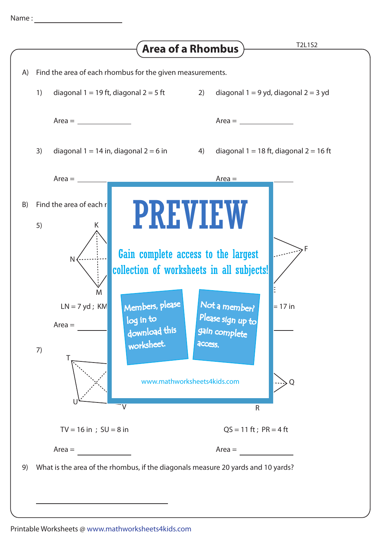